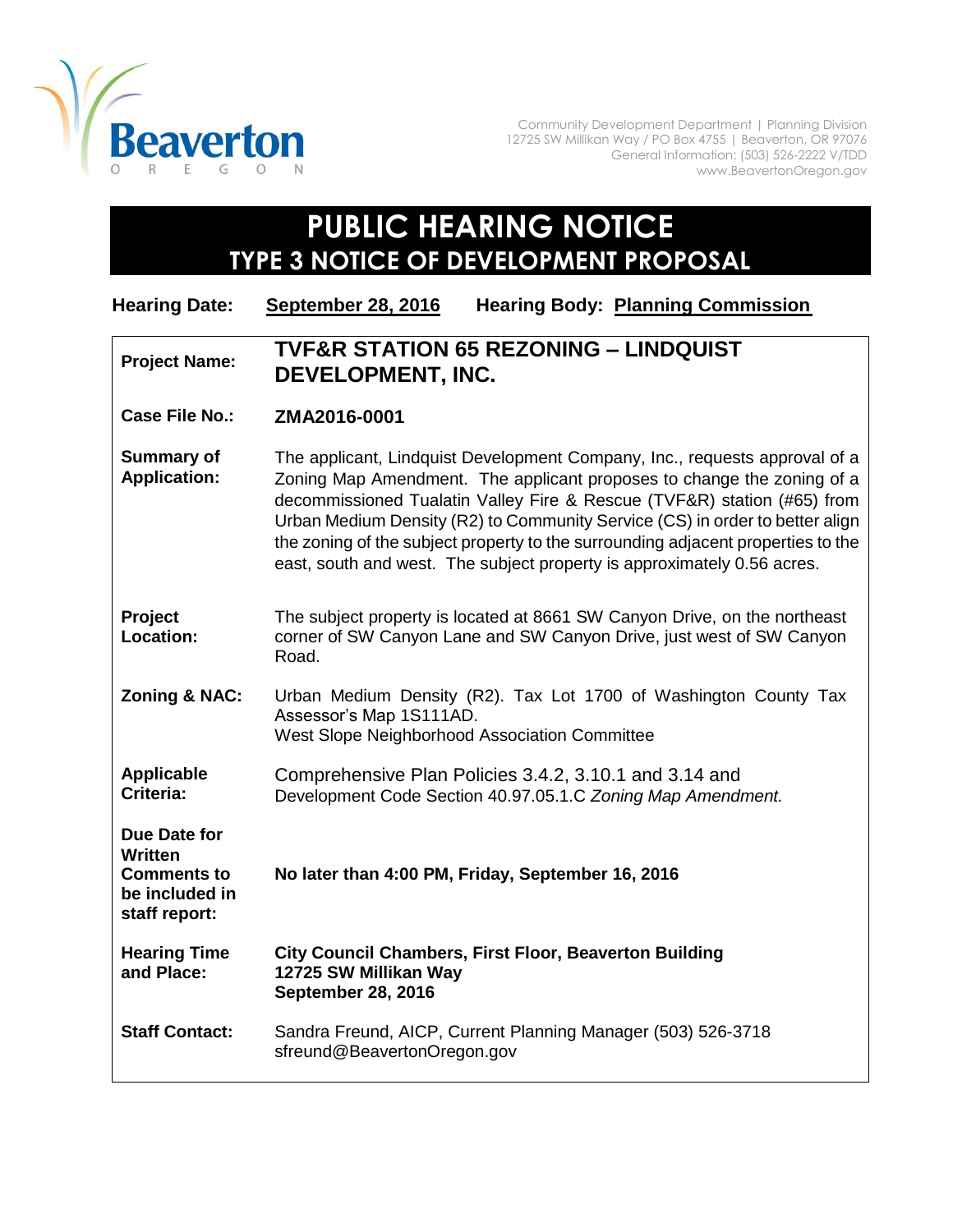

Community Development Department | Planning Division 12725 SW Millikan Way / PO Box 4755 | Beaverton, OR 97076 General Information: (503) 526-2222 V/TDD www.BeavertonOregon.gov

## **PUBLIC HEARING NOTICE TYPE 3 NOTICE OF DEVELOPMENT PROPOSAL**

| <b>Hearing Date:</b>                                                                    | <b>September 28, 2016</b>                                                                                                                                                                                                                                                                                                                                                                                                                                                      | <b>Hearing Body: Planning Commission</b>                                                                              |
|-----------------------------------------------------------------------------------------|--------------------------------------------------------------------------------------------------------------------------------------------------------------------------------------------------------------------------------------------------------------------------------------------------------------------------------------------------------------------------------------------------------------------------------------------------------------------------------|-----------------------------------------------------------------------------------------------------------------------|
| <b>Project Name:</b>                                                                    | <b>TVF&amp;R STATION 65 REZONING - LINDQUIST</b><br><b>DEVELOPMENT, INC.</b>                                                                                                                                                                                                                                                                                                                                                                                                   |                                                                                                                       |
| <b>Case File No.:</b>                                                                   | ZMA2016-0001                                                                                                                                                                                                                                                                                                                                                                                                                                                                   |                                                                                                                       |
| <b>Summary of</b><br><b>Application:</b>                                                | The applicant, Lindquist Development Company, Inc., requests approval of a<br>Zoning Map Amendment. The applicant proposes to change the zoning of a<br>decommissioned Tualatin Valley Fire & Rescue (TVF&R) station (#65) from<br>Urban Medium Density (R2) to Community Service (CS) in order to better align<br>the zoning of the subject property to the surrounding adjacent properties to the<br>east, south and west. The subject property is approximately 0.56 acres. |                                                                                                                       |
| Project<br>Location:                                                                    | The subject property is located at 8661 SW Canyon Drive, on the northeast<br>corner of SW Canyon Lane and SW Canyon Drive, just west of SW Canyon<br>Road.                                                                                                                                                                                                                                                                                                                     |                                                                                                                       |
| Zoning & NAC:                                                                           | Assessor's Map 1S111AD.<br>West Slope Neighborhood Association Committee                                                                                                                                                                                                                                                                                                                                                                                                       | Urban Medium Density (R2). Tax Lot 1700 of Washington County Tax                                                      |
| <b>Applicable</b><br>Criteria:                                                          |                                                                                                                                                                                                                                                                                                                                                                                                                                                                                | Comprehensive Plan Policies 3.4.2, 3.10.1 and 3.14 and<br>Development Code Section 40.97.05.1.C Zoning Map Amendment. |
| Due Date for<br><b>Written</b><br><b>Comments to</b><br>be included in<br>staff report: | No later than 4:00 PM, Friday, September 16, 2016                                                                                                                                                                                                                                                                                                                                                                                                                              |                                                                                                                       |
| <b>Hearing Time</b><br>and Place:                                                       | <b>City Council Chambers, First Floor, Beaverton Building</b><br>12725 SW Millikan Way<br>September 28, 2016                                                                                                                                                                                                                                                                                                                                                                   |                                                                                                                       |
| <b>Staff Contact:</b>                                                                   | sfreund@BeavertonOregon.gov                                                                                                                                                                                                                                                                                                                                                                                                                                                    | Sandra Freund, AICP, Current Planning Manager (503) 526-3718                                                          |